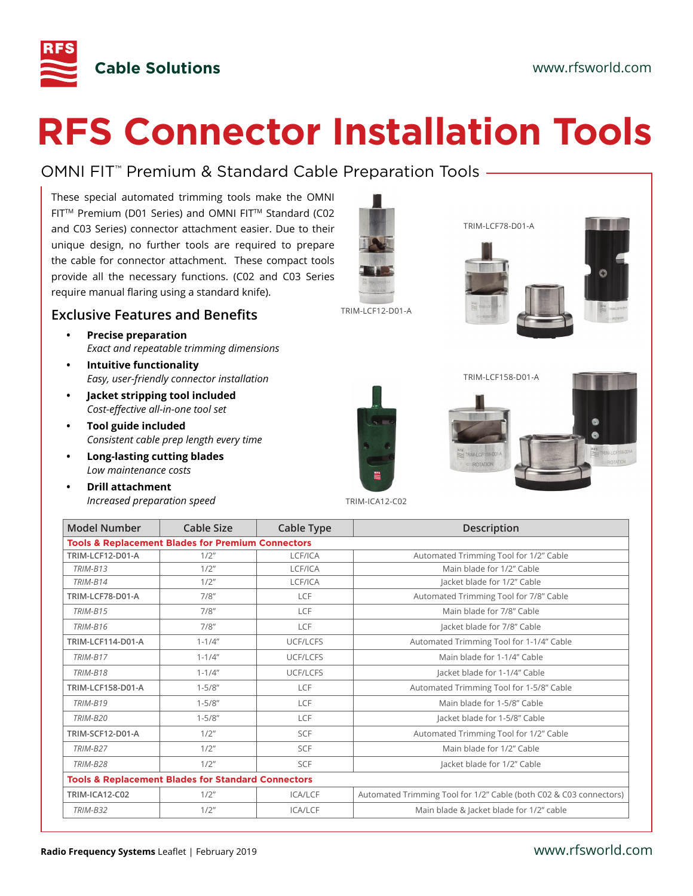

# **RFS Connector Installation Tools**

# OMNI FIT™ Premium & Standard Cable Preparation Tools

These special automated trimming tools make the OMNI FITTM Premium (D01 Series) and OMNI FITTM Standard (C02 and C03 Series) connector attachment easier. Due to their unique design, no further tools are required to prepare the cable for connector attachment. These compact tools provide all the necessary functions. (C02 and C03 Series require manual flaring using a standard knife).

#### **Exclusive Features and Benefits**

- **• Precise preparation** *Exact and repeatable trimming dimensions*
- **• Intuitive functionality** *Easy, user-friendly connector installation*
- **• Jacket stripping tool included** *Cost-effective all-in-one tool set*
- **• Tool guide included** *Consistent cable prep length every time*
- **• Long-lasting cutting blades** *Low maintenance costs*
- **• Drill attachment** *Increased preparation speed*



TRIM-ICA12-C02

| <b>Model Number</b>                                          | Cable Size                                                    | Cable Type     | <b>Description</b>                                                 |
|--------------------------------------------------------------|---------------------------------------------------------------|----------------|--------------------------------------------------------------------|
| <b>Tools &amp; Replacement Blades for Premium Connectors</b> |                                                               |                |                                                                    |
| TRIM-LCF12-D01-A                                             | 1/2"                                                          | LCF/ICA        | Automated Trimming Tool for 1/2" Cable                             |
| <b>TRIM-B13</b>                                              | $1/2$ "                                                       | LCF/ICA        | Main blade for 1/2" Cable                                          |
| <b>TRIM-B14</b>                                              | 1/2"                                                          | LCF/ICA        | Jacket blade for 1/2" Cable                                        |
| TRIM-LCF78-D01-A                                             | 7/8"                                                          | LCF            | Automated Trimming Tool for 7/8" Cable                             |
| <b>TRIM-B15</b>                                              | 7/8"                                                          | LCF            | Main blade for 7/8" Cable                                          |
| TRIM-B16                                                     | 7/8"                                                          | LCF            | Jacket blade for 7/8" Cable                                        |
| <b>TRIM-LCF114-D01-A</b>                                     | $1 - 1/4"$                                                    | UCF/LCFS       | Automated Trimming Tool for 1-1/4" Cable                           |
| TRIM-B17                                                     | $1 - 1/4"$                                                    | UCF/LCFS       | Main blade for 1-1/4" Cable                                        |
| <b>TRIM-B18</b>                                              | $1 - 1/4"$                                                    | UCF/LCFS       | Jacket blade for 1-1/4" Cable                                      |
| <b>TRIM-LCF158-D01-A</b>                                     | $1 - 5/8"$                                                    | LCF            | Automated Trimming Tool for 1-5/8" Cable                           |
| TRIM-B19                                                     | $1 - 5/8"$                                                    | LCF            | Main blade for 1-5/8" Cable                                        |
| <b>TRIM-B20</b>                                              | $1 - 5/8"$                                                    | LCF            | Jacket blade for 1-5/8" Cable                                      |
| TRIM-SCF12-D01-A                                             | $1/2$ "                                                       | <b>SCF</b>     | Automated Trimming Tool for 1/2" Cable                             |
| <b>TRIM-B27</b>                                              | 1/2"                                                          | <b>SCF</b>     | Main blade for 1/2" Cable                                          |
| <b>TRIM-B28</b>                                              | 1/2"                                                          | SCF            | Jacket blade for 1/2" Cable                                        |
|                                                              | <b>Tools &amp; Replacement Blades for Standard Connectors</b> |                |                                                                    |
| <b>TRIM-ICA12-C02</b>                                        | 1/2"                                                          | <b>ICA/LCF</b> | Automated Trimming Tool for 1/2" Cable (both C02 & C03 connectors) |
| <b>TRIM-B32</b>                                              | $1/2$ "                                                       | ICA/LCF        | Main blade & Jacket blade for 1/2" cable                           |